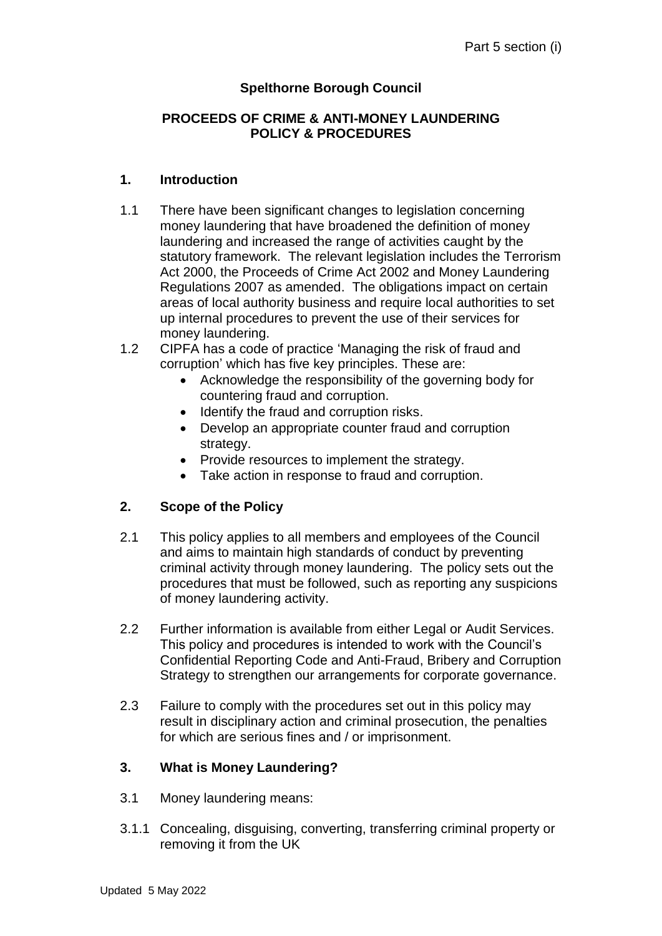# **Spelthorne Borough Council**

#### **PROCEEDS OF CRIME & ANTI-MONEY LAUNDERING POLICY & PROCEDURES**

#### **1. Introduction**

- 1.1 There have been significant changes to legislation concerning money laundering that have broadened the definition of money laundering and increased the range of activities caught by the statutory framework. The relevant legislation includes the Terrorism Act 2000, the Proceeds of Crime Act 2002 and Money Laundering Regulations 2007 as amended. The obligations impact on certain areas of local authority business and require local authorities to set up internal procedures to prevent the use of their services for money laundering.
- 1.2 CIPFA has a code of practice 'Managing the risk of fraud and corruption' which has five key principles. These are:
	- Acknowledge the responsibility of the governing body for countering fraud and corruption.
	- Identify the fraud and corruption risks.
	- Develop an appropriate counter fraud and corruption strategy.
	- Provide resources to implement the strategy.
	- Take action in response to fraud and corruption.

## **2. Scope of the Policy**

- 2.1 This policy applies to all members and employees of the Council and aims to maintain high standards of conduct by preventing criminal activity through money laundering. The policy sets out the procedures that must be followed, such as reporting any suspicions of money laundering activity.
- 2.2 Further information is available from either Legal or Audit Services. This policy and procedures is intended to work with the Council's Confidential Reporting Code and Anti-Fraud, Bribery and Corruption Strategy to strengthen our arrangements for corporate governance.
- 2.3 Failure to comply with the procedures set out in this policy may result in disciplinary action and criminal prosecution, the penalties for which are serious fines and / or imprisonment.

#### **3. What is Money Laundering?**

- 3.1 Money laundering means:
- 3.1.1 Concealing, disguising, converting, transferring criminal property or removing it from the UK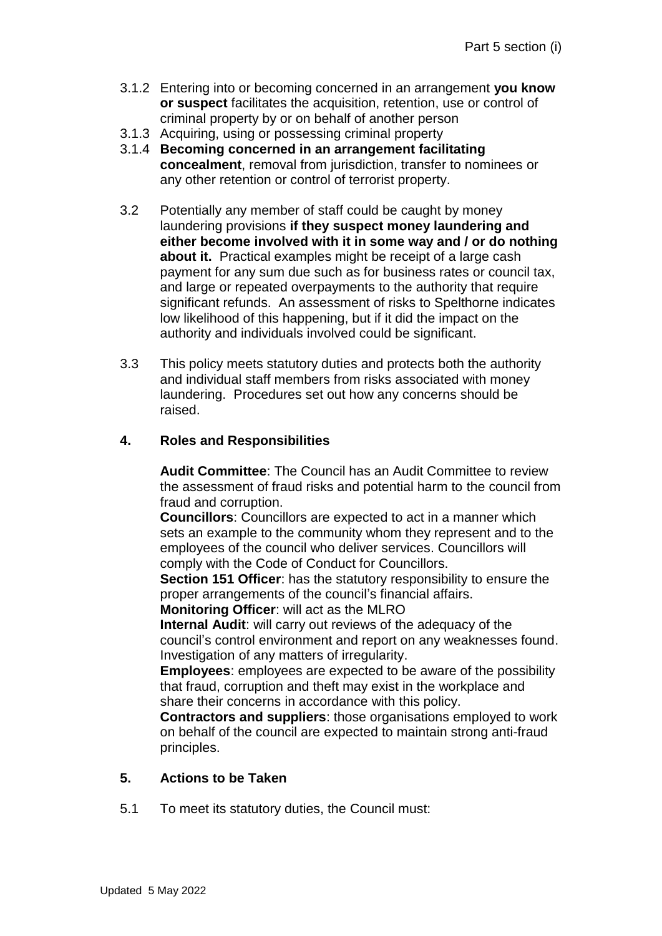- 3.1.2 Entering into or becoming concerned in an arrangement **you know or suspect** facilitates the acquisition, retention, use or control of criminal property by or on behalf of another person
- 3.1.3 Acquiring, using or possessing criminal property
- 3.1.4 **Becoming concerned in an arrangement facilitating concealment**, removal from jurisdiction, transfer to nominees or any other retention or control of terrorist property.
- 3.2 Potentially any member of staff could be caught by money laundering provisions **if they suspect money laundering and either become involved with it in some way and / or do nothing about it.** Practical examples might be receipt of a large cash payment for any sum due such as for business rates or council tax, and large or repeated overpayments to the authority that require significant refunds. An assessment of risks to Spelthorne indicates low likelihood of this happening, but if it did the impact on the authority and individuals involved could be significant.
- 3.3 This policy meets statutory duties and protects both the authority and individual staff members from risks associated with money laundering. Procedures set out how any concerns should be raised.

### **4. Roles and Responsibilities**

**Audit Committee**: The Council has an Audit Committee to review the assessment of fraud risks and potential harm to the council from fraud and corruption.

**Councillors**: Councillors are expected to act in a manner which sets an example to the community whom they represent and to the employees of the council who deliver services. Councillors will comply with the Code of Conduct for Councillors.

**Section 151 Officer:** has the statutory responsibility to ensure the proper arrangements of the council's financial affairs.

**Monitoring Officer**: will act as the MLRO

**Internal Audit**: will carry out reviews of the adequacy of the council's control environment and report on any weaknesses found. Investigation of any matters of irregularity.

**Employees**: employees are expected to be aware of the possibility that fraud, corruption and theft may exist in the workplace and share their concerns in accordance with this policy.

**Contractors and suppliers**: those organisations employed to work on behalf of the council are expected to maintain strong anti-fraud principles.

#### **5. Actions to be Taken**

5.1 To meet its statutory duties, the Council must: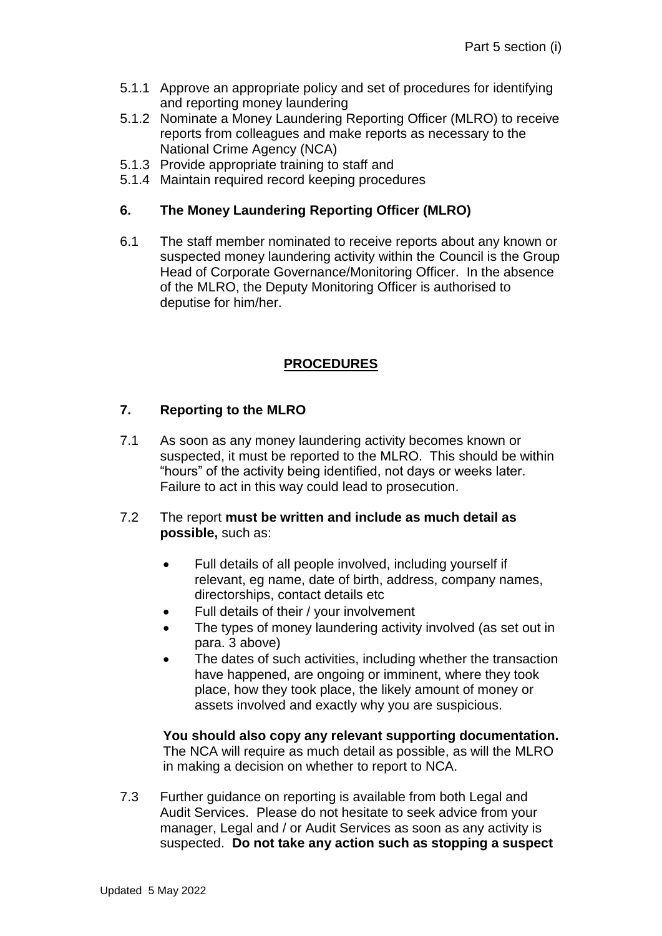- 5.1.1 Approve an appropriate policy and set of procedures for identifying and reporting money laundering
- 5.1.2 Nominate a Money Laundering Reporting Officer (MLRO) to receive reports from colleagues and make reports as necessary to the National Crime Agency (NCA)
- 5.1.3 Provide appropriate training to staff and
- 5.1.4 Maintain required record keeping procedures

### **6. The Money Laundering Reporting Officer (MLRO)**

6.1 The staff member nominated to receive reports about any known or suspected money laundering activity within the Council is the Group Head of Corporate Governance/Monitoring Officer. In the absence of the MLRO, the Deputy Monitoring Officer is authorised to deputise for him/her.

## **PROCEDURES**

## **7. Reporting to the MLRO**

7.1 As soon as any money laundering activity becomes known or suspected, it must be reported to the MLRO. This should be within "hours" of the activity being identified, not days or weeks later. Failure to act in this way could lead to prosecution.

### 7.2 The report **must be written and include as much detail as possible,** such as:

- Full details of all people involved, including yourself if relevant, eg name, date of birth, address, company names, directorships, contact details etc
- Full details of their / your involvement
- The types of money laundering activity involved (as set out in para. 3 above)
- The dates of such activities, including whether the transaction have happened, are ongoing or imminent, where they took place, how they took place, the likely amount of money or assets involved and exactly why you are suspicious.

**You should also copy any relevant supporting documentation.**  The NCA will require as much detail as possible, as will the MLRO in making a decision on whether to report to NCA.

7.3 Further guidance on reporting is available from both Legal and Audit Services. Please do not hesitate to seek advice from your manager, Legal and / or Audit Services as soon as any activity is suspected. **Do not take any action such as stopping a suspect**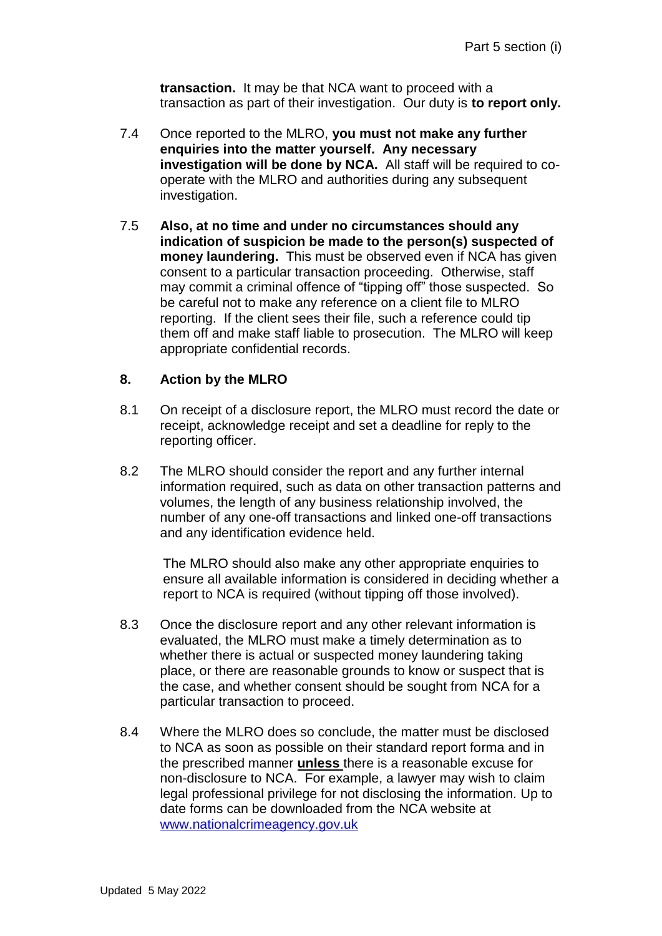**transaction.** It may be that NCA want to proceed with a transaction as part of their investigation. Our duty is **to report only.**

- 7.4 Once reported to the MLRO, **you must not make any further enquiries into the matter yourself. Any necessary investigation will be done by NCA.** All staff will be required to cooperate with the MLRO and authorities during any subsequent investigation.
- 7.5 **Also, at no time and under no circumstances should any indication of suspicion be made to the person(s) suspected of money laundering.** This must be observed even if NCA has given consent to a particular transaction proceeding. Otherwise, staff may commit a criminal offence of "tipping off" those suspected. So be careful not to make any reference on a client file to MLRO reporting. If the client sees their file, such a reference could tip them off and make staff liable to prosecution. The MLRO will keep appropriate confidential records.

### **8. Action by the MLRO**

- 8.1 On receipt of a disclosure report, the MLRO must record the date or receipt, acknowledge receipt and set a deadline for reply to the reporting officer.
- 8.2 The MLRO should consider the report and any further internal information required, such as data on other transaction patterns and volumes, the length of any business relationship involved, the number of any one-off transactions and linked one-off transactions and any identification evidence held.

The MLRO should also make any other appropriate enquiries to ensure all available information is considered in deciding whether a report to NCA is required (without tipping off those involved).

- 8.3 Once the disclosure report and any other relevant information is evaluated, the MLRO must make a timely determination as to whether there is actual or suspected money laundering taking place, or there are reasonable grounds to know or suspect that is the case, and whether consent should be sought from NCA for a particular transaction to proceed.
- 8.4 Where the MLRO does so conclude, the matter must be disclosed to NCA as soon as possible on their standard report forma and in the prescribed manner **unless** there is a reasonable excuse for non-disclosure to NCA. For example, a lawyer may wish to claim legal professional privilege for not disclosing the information. Up to date forms can be downloaded from the NCA website at [www.nationalcrimeagency.gov.uk](http://www.nationalcrimeagency.gov.uk/)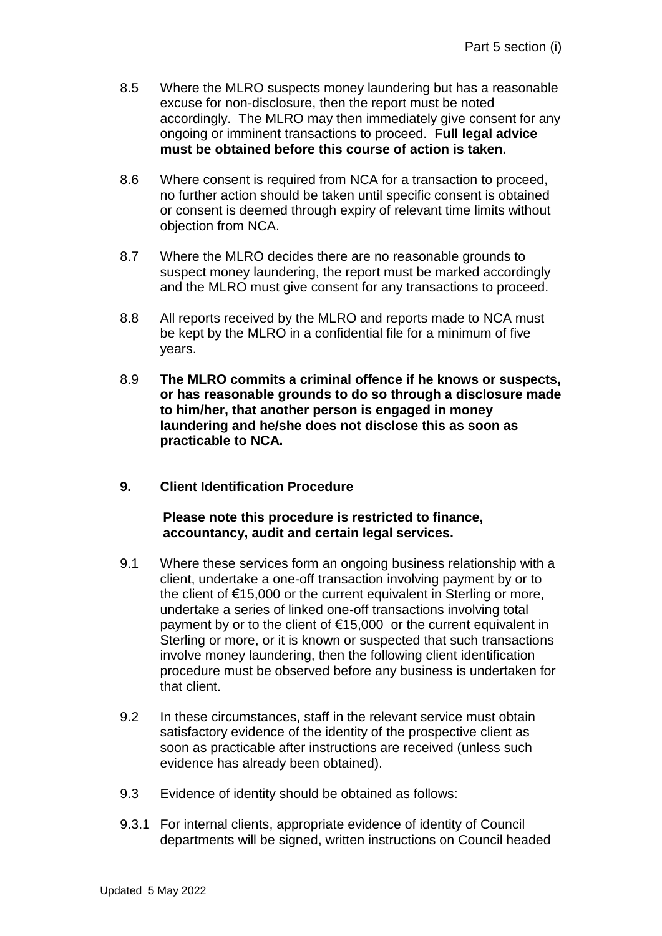- 8.5 Where the MLRO suspects money laundering but has a reasonable excuse for non-disclosure, then the report must be noted accordingly. The MLRO may then immediately give consent for any ongoing or imminent transactions to proceed. **Full legal advice must be obtained before this course of action is taken.**
- 8.6 Where consent is required from NCA for a transaction to proceed, no further action should be taken until specific consent is obtained or consent is deemed through expiry of relevant time limits without objection from NCA.
- 8.7 Where the MLRO decides there are no reasonable grounds to suspect money laundering, the report must be marked accordingly and the MLRO must give consent for any transactions to proceed.
- 8.8 All reports received by the MLRO and reports made to NCA must be kept by the MLRO in a confidential file for a minimum of five years.
- 8.9 **The MLRO commits a criminal offence if he knows or suspects, or has reasonable grounds to do so through a disclosure made to him/her, that another person is engaged in money laundering and he/she does not disclose this as soon as practicable to NCA.**
- **9. Client Identification Procedure**

**Please note this procedure is restricted to finance, accountancy, audit and certain legal services.**

- 9.1 Where these services form an ongoing business relationship with a client, undertake a one-off transaction involving payment by or to the client of €15,000 or the current equivalent in Sterling or more, undertake a series of linked one-off transactions involving total payment by or to the client of €15,000 or the current equivalent in Sterling or more, or it is known or suspected that such transactions involve money laundering, then the following client identification procedure must be observed before any business is undertaken for that client.
- 9.2 In these circumstances, staff in the relevant service must obtain satisfactory evidence of the identity of the prospective client as soon as practicable after instructions are received (unless such evidence has already been obtained).
- 9.3 Evidence of identity should be obtained as follows:
- 9.3.1 For internal clients, appropriate evidence of identity of Council departments will be signed, written instructions on Council headed